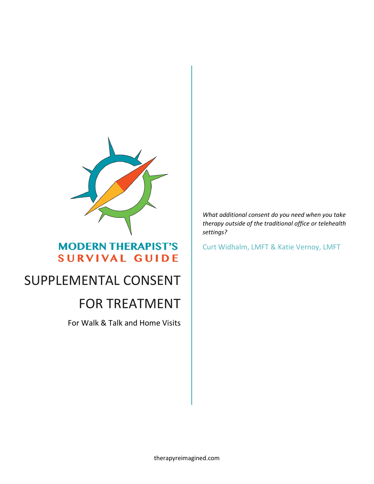

# **MODERN THERAPIST'S SURVIVAL GUIDE**

# SUPPLEMENTAL CONSENT

# FOR TREATMENT

For Walk & Talk and Home Visits

*What additional consent do you need when you take therapy outside of the traditional office or telehealth settings?*

Curt Widhalm, LMFT & Katie Vernoy, LMFT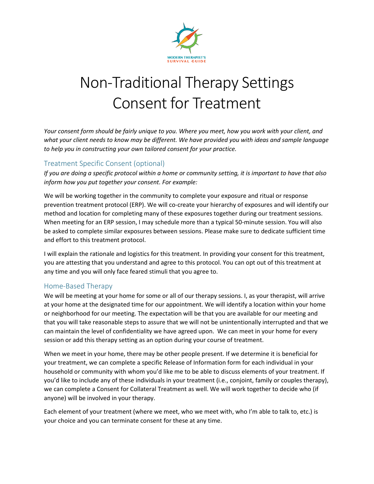

# Non-Traditional Therapy Settings Consent for Treatment

*Your consent form should be fairly unique to you. Where you meet, how you work with your client, and what your client needs to know may be different. We have provided you with ideas and sample language to help you in constructing your own tailored consent for your practice.* 

# Treatment Specific Consent (optional)

*If you are doing a specific protocol within a home or community setting, it is important to have that also inform how you put together your consent. For example:*

We will be working together in the community to complete your exposure and ritual or response prevention treatment protocol (ERP). We will co-create your hierarchy of exposures and will identify our method and location for completing many of these exposures together during our treatment sessions. When meeting for an ERP session, I may schedule more than a typical 50-minute session. You will also be asked to complete similar exposures between sessions. Please make sure to dedicate sufficient time and effort to this treatment protocol.

I will explain the rationale and logistics for this treatment. In providing your consent for this treatment, you are attesting that you understand and agree to this protocol. You can opt out of this treatment at any time and you will only face feared stimuli that you agree to.

# Home-Based Therapy

We will be meeting at your home for some or all of our therapy sessions. I, as your therapist, will arrive at your home at the designated time for our appointment. We will identify a location within your home or neighborhood for our meeting. The expectation will be that you are available for our meeting and that you will take reasonable steps to assure that we will not be unintentionally interrupted and that we can maintain the level of confidentiality we have agreed upon. We can meet in your home for every session or add this therapy setting as an option during your course of treatment.

When we meet in your home, there may be other people present. If we determine it is beneficial for your treatment, we can complete a specific Release of Information form for each individual in your household or community with whom you'd like me to be able to discuss elements of your treatment. If you'd like to include any of these individuals in your treatment (i.e., conjoint, family or couples therapy), we can complete a Consent for Collateral Treatment as well. We will work together to decide who (if anyone) will be involved in your therapy.

Each element of your treatment (where we meet, who we meet with, who I'm able to talk to, etc.) is your choice and you can terminate consent for these at any time.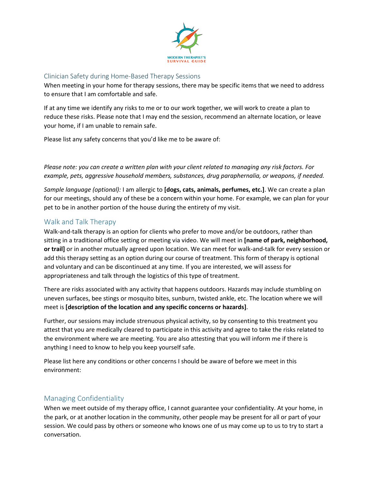

#### Clinician Safety during Home-Based Therapy Sessions

When meeting in your home for therapy sessions, there may be specific items that we need to address to ensure that I am comfortable and safe.

If at any time we identify any risks to me or to our work together, we will work to create a plan to reduce these risks. Please note that I may end the session, recommend an alternate location, or leave your home, if I am unable to remain safe.

Please list any safety concerns that you'd like me to be aware of:

*Please note: you can create a written plan with your client related to managing any risk factors. For example, pets, aggressive household members, substances, drug paraphernalia, or weapons, if needed.*

*Sample language (optional):* I am allergic to **[dogs, cats, animals, perfumes, etc.]**. We can create a plan for our meetings, should any of these be a concern within your home. For example, we can plan for your pet to be in another portion of the house during the entirety of my visit.

# Walk and Talk Therapy

Walk-and-talk therapy is an option for clients who prefer to move and/or be outdoors, rather than sitting in a traditional office setting or meeting via video. We will meet in **[name of park, neighborhood, or trail]** or in another mutually agreed upon location. We can meet for walk-and-talk for every session or add this therapy setting as an option during our course of treatment. This form of therapy is optional and voluntary and can be discontinued at any time. If you are interested, we will assess for appropriateness and talk through the logistics of this type of treatment.

There are risks associated with any activity that happens outdoors. Hazards may include stumbling on uneven surfaces, bee stings or mosquito bites, sunburn, twisted ankle, etc. The location where we will meet is **[description of the location and any specific concerns or hazards]**.

Further, our sessions may include strenuous physical activity, so by consenting to this treatment you attest that you are medically cleared to participate in this activity and agree to take the risks related to the environment where we are meeting. You are also attesting that you will inform me if there is anything I need to know to help you keep yourself safe.

Please list here any conditions or other concerns I should be aware of before we meet in this environment:

# Managing Confidentiality

When we meet outside of my therapy office, I cannot guarantee your confidentiality. At your home, in the park, or at another location in the community, other people may be present for all or part of your session. We could pass by others or someone who knows one of us may come up to us to try to start a conversation.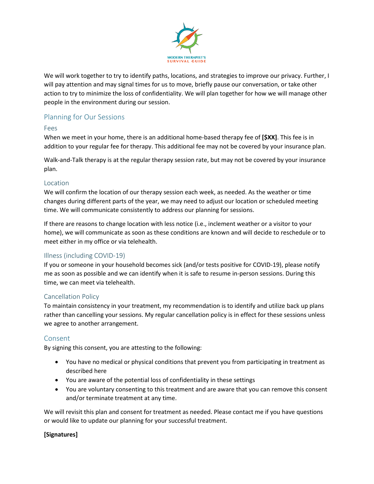

We will work together to try to identify paths, locations, and strategies to improve our privacy. Further, I will pay attention and may signal times for us to move, briefly pause our conversation, or take other action to try to minimize the loss of confidentiality. We will plan together for how we will manage other people in the environment during our session.

# Planning for Our Sessions

#### Fees

When we meet in your home, there is an additional home-based therapy fee of **[\$XX]**. This fee is in addition to your regular fee for therapy. This additional fee may not be covered by your insurance plan.

Walk-and-Talk therapy is at the regular therapy session rate, but may not be covered by your insurance plan.

#### Location

We will confirm the location of our therapy session each week, as needed. As the weather or time changes during different parts of the year, we may need to adjust our location or scheduled meeting time. We will communicate consistently to address our planning for sessions.

If there are reasons to change location with less notice (i.e., inclement weather or a visitor to your home), we will communicate as soon as these conditions are known and will decide to reschedule or to meet either in my office or via telehealth.

# Illness (including COVID-19)

If you or someone in your household becomes sick (and/or tests positive for COVID-19), please notify me as soon as possible and we can identify when it is safe to resume in-person sessions. During this time, we can meet via telehealth.

# Cancellation Policy

To maintain consistency in your treatment, my recommendation is to identify and utilize back up plans rather than cancelling your sessions. My regular cancellation policy is in effect for these sessions unless we agree to another arrangement.

# Consent

By signing this consent, you are attesting to the following:

- You have no medical or physical conditions that prevent you from participating in treatment as described here
- You are aware of the potential loss of confidentiality in these settings
- You are voluntary consenting to this treatment and are aware that you can remove this consent and/or terminate treatment at any time.

We will revisit this plan and consent for treatment as needed. Please contact me if you have questions or would like to update our planning for your successful treatment.

# **[Signatures]**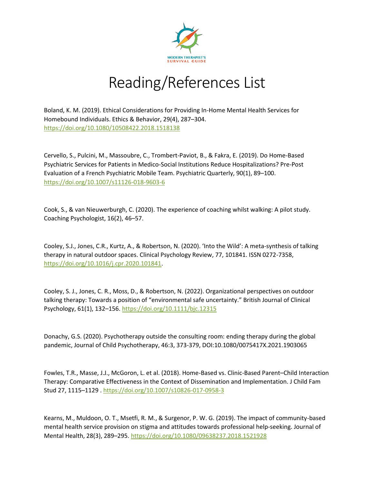

# Reading/References List

Boland, K. M. (2019). Ethical Considerations for Providing In-Home Mental Health Services for Homebound Individuals. Ethics & Behavior, 29(4), 287–304. <https://doi.org/10.1080/10508422.2018.1518138>

Cervello, S., Pulcini, M., Massoubre, C., Trombert-Paviot, B., & Fakra, E. (2019). Do Home-Based Psychiatric Services for Patients in Medico-Social Institutions Reduce Hospitalizations? Pre-Post Evaluation of a French Psychiatric Mobile Team. Psychiatric Quarterly, 90(1), 89–100. <https://doi.org/10.1007/s11126-018-9603-6>

Cook, S., & van Nieuwerburgh, C. (2020). The experience of coaching whilst walking: A pilot study. Coaching Psychologist, 16(2), 46–57.

Cooley, S.J., Jones, C.R., Kurtz, A., & Robertson, N. (2020). 'Into the Wild': A meta-synthesis of talking therapy in natural outdoor spaces. Clinical Psychology Review, 77, 101841. ISSN 0272-7358, [https://doi.org/10.1016/j.cpr.2020.101841.](https://doi.org/10.1016/j.cpr.2020.101841)

Cooley, S. J., Jones, C. R., Moss, D., & Robertson, N. (2022). Organizational perspectives on outdoor talking therapy: Towards a position of "environmental safe uncertainty." British Journal of Clinical Psychology, 61(1), 132–156[. https://doi.org/10.1111/bjc.12315](https://doi.org/10.1111/bjc.12315)

Donachy, G.S. (2020). Psychotherapy outside the consulting room: ending therapy during the global pandemic, Journal of Child Psychotherapy, 46:3, 373-379, DOI:10.1080/0075417X.2021.1903065

Fowles, T.R., Masse, J.J., McGoron, L. et al. (2018). Home-Based vs. Clinic-Based Parent–Child Interaction Therapy: Comparative Effectiveness in the Context of Dissemination and Implementation. J Child Fam Stud 27, 1115–1129 .<https://doi.org/10.1007/s10826-017-0958-3>

Kearns, M., Muldoon, O. T., Msetfi, R. M., & Surgenor, P. W. G. (2019). The impact of community-based mental health service provision on stigma and attitudes towards professional help-seeking. Journal of Mental Health, 28(3), 289–295.<https://doi.org/10.1080/09638237.2018.1521928>